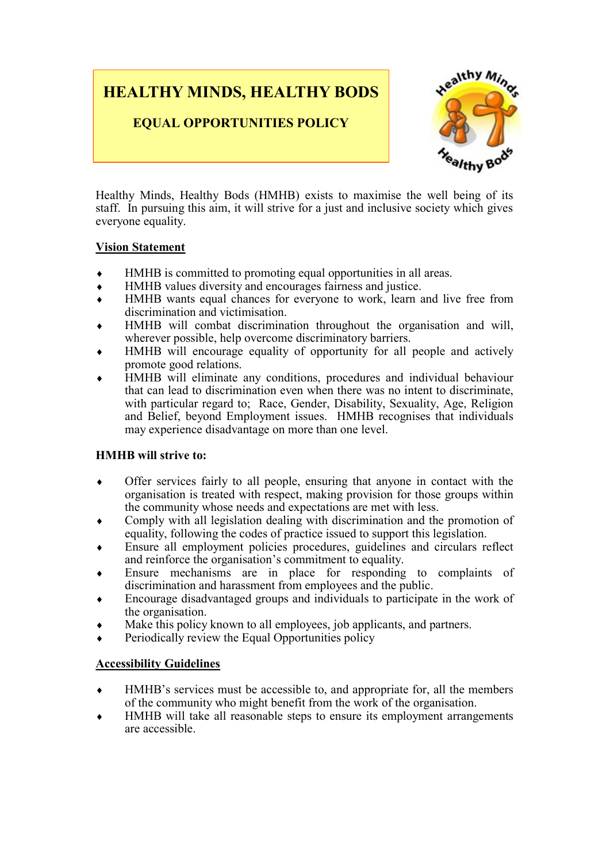## **HEALTHY MINDS, HEALTHY BODS**

**EQUAL OPPORTUNITIES POLICY**



Healthy Minds, Healthy Bods (HMHB) exists to maximise the well being of its staff. In pursuing this aim, it will strive for a just and inclusive society which gives everyone equality.

#### **Vision Statement**

- HMHB is committed to promoting equal opportunities in all areas.
- HMHB values diversity and encourages fairness and justice.
- HMHB wants equal chances for everyone to work, learn and live free from discrimination and victimisation.
- HMHB will combat discrimination throughout the organisation and will, wherever possible, help overcome discriminatory barriers.
- HMHB will encourage equality of opportunity for all people and actively promote good relations.
- HMHB will eliminate any conditions, procedures and individual behaviour that can lead to discrimination even when there was no intent to discriminate, with particular regard to; Race, Gender, Disability, Sexuality, Age, Religion and Belief, beyond Employment issues. HMHB recognises that individuals may experience disadvantage on more than one level.

#### **HMHB will strive to:**

- Offer services fairly to all people, ensuring that anyone in contact with the organisation is treated with respect, making provision for those groups within the community whose needs and expectations are met with less.
- Comply with all legislation dealing with discrimination and the promotion of equality, following the codes of practice issued to support this legislation.
- Ensure all employment policies procedures, guidelines and circulars reflect and reinforce the organisation's commitment to equality.
- Ensure mechanisms are in place for responding to complaints of discrimination and harassment from employees and the public.
- Encourage disadvantaged groups and individuals to participate in the work of the organisation.
- Make this policy known to all employees, job applicants, and partners.
- Periodically review the Equal Opportunities policy

#### **Accessibility Guidelines**

- HMHB's services must be accessible to, and appropriate for, all the members of the community who might benefit from the work of the organisation.
- HMHB will take all reasonable steps to ensure its employment arrangements are accessible.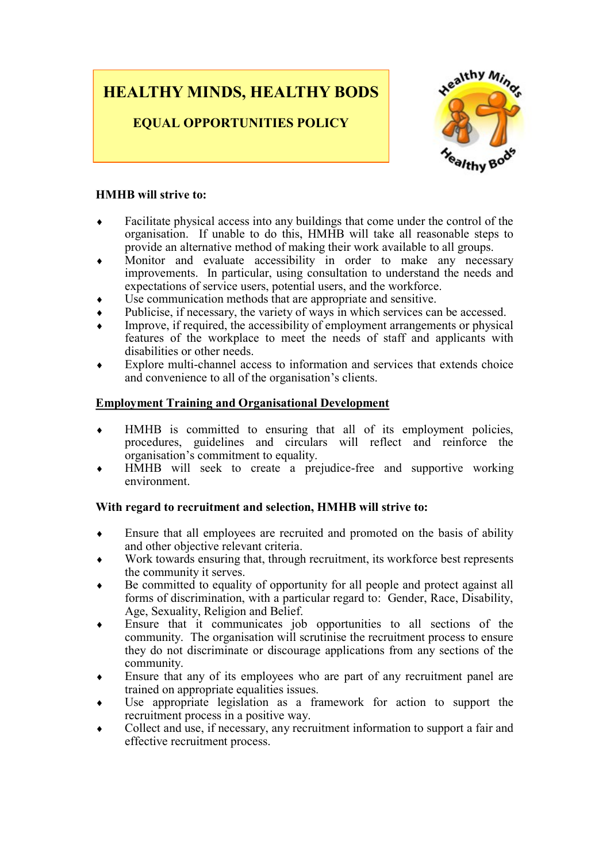# **HEALTHY MINDS, HEALTHY BODS**

**EQUAL OPPORTUNITIES POLICY**



#### **HMHB will strive to:**

- Facilitate physical access into any buildings that come under the control of the organisation. If unable to do this, HMHB will take all reasonable steps to provide an alternative method of making their work available to all groups.
- Monitor and evaluate accessibility in order to make any necessary improvements. In particular, using consultation to understand the needs and expectations of service users, potential users, and the workforce.
- Use communication methods that are appropriate and sensitive.
- Publicise, if necessary, the variety of ways in which services can be accessed.
- Improve, if required, the accessibility of employment arrangements or physical features of the workplace to meet the needs of staff and applicants with disabilities or other needs.
- Explore multi-channel access to information and services that extends choice and convenience to all of the organisation's clients.

#### **Employment Training and Organisational Development**

- HMHB is committed to ensuring that all of its employment policies, procedures, guidelines and circulars will reflect and reinforce the organisation's commitment to equality.
- HMHB will seek to create a prejudice-free and supportive working environment.

#### **With regard to recruitment and selection, HMHB will strive to:**

- Ensure that all employees are recruited and promoted on the basis of ability and other objective relevant criteria.
- Work towards ensuring that, through recruitment, its workforce best represents the community it serves.
- Be committed to equality of opportunity for all people and protect against all forms of discrimination, with a particular regard to: Gender, Race, Disability, Age, Sexuality, Religion and Belief.
- Ensure that it communicates job opportunities to all sections of the community. The organisation will scrutinise the recruitment process to ensure they do not discriminate or discourage applications from any sections of the community.
- Ensure that any of its employees who are part of any recruitment panel are trained on appropriate equalities issues.
- Use appropriate legislation as a framework for action to support the recruitment process in a positive way.
- Collect and use, if necessary, any recruitment information to support a fair and effective recruitment process.